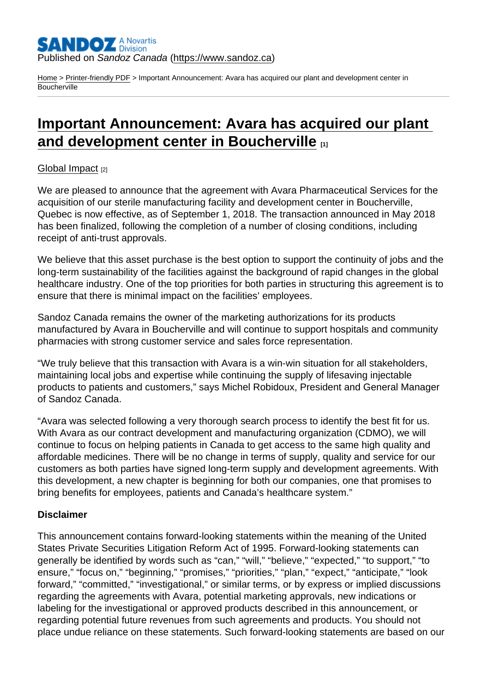## Published on Sandoz Canada [\(https://www.sandoz.ca](https://www.sandoz.ca))

[Home](https://www.sandoz.ca/en) > [Printer-friendly PDF](https://www.sandoz.ca/en/printpdf) > Important Announcement: Avara has acquired our plant and development center in **Boucherville** 

# [Important Announcement: Avara has acquired our plant](https://www.sandoz.ca/en/stories/global-impact/important-announcement-avara-has-acquired-our-plant-and-development-center)  [and development center in Boucherville](https://www.sandoz.ca/en/stories/global-impact/important-announcement-avara-has-acquired-our-plant-and-development-center)  $\Box$ <sub>[1]</sub>

### [Global Impact](https://www.sandoz.ca/en/stories/global-impact) [2]

We are pleased to announce that the agreement with Avara Pharmaceutical Services for the acquisition of our sterile manufacturing facility and development center in Boucherville, Quebec is now effective, as of September 1, 2018. The transaction announced in May 2018 has been finalized, following the completion of a number of closing conditions, including receipt of anti-trust approvals.

We believe that this asset purchase is the best option to support the continuity of jobs and the long-term sustainability of the facilities against the background of rapid changes in the global healthcare industry. One of the top priorities for both parties in structuring this agreement is to ensure that there is minimal impact on the facilities' employees.

Sandoz Canada remains the owner of the marketing authorizations for its products manufactured by Avara in Boucherville and will continue to support hospitals and community pharmacies with strong customer service and sales force representation.

"We truly believe that this transaction with Avara is a win-win situation for all stakeholders, maintaining local jobs and expertise while continuing the supply of lifesaving injectable products to patients and customers," says Michel Robidoux, President and General Manager of Sandoz Canada.

"Avara was selected following a very thorough search process to identify the best fit for us. With Avara as our contract development and manufacturing organization (CDMO), we will continue to focus on helping patients in Canada to get access to the same high quality and affordable medicines. There will be no change in terms of supply, quality and service for our customers as both parties have signed long-term supply and development agreements. With this development, a new chapter is beginning for both our companies, one that promises to bring benefits for employees, patients and Canada's healthcare system."

#### Disclaimer

This announcement contains forward-looking statements within the meaning of the United States Private Securities Litigation Reform Act of 1995. Forward-looking statements can generally be identified by words such as "can," "will," "believe," "expected," "to support," "to ensure," "focus on," "beginning," "promises," "priorities," "plan," "expect," "anticipate," "look forward," "committed," "investigational," or similar terms, or by express or implied discussions regarding the agreements with Avara, potential marketing approvals, new indications or labeling for the investigational or approved products described in this announcement, or regarding potential future revenues from such agreements and products. You should not place undue reliance on these statements. Such forward-looking statements are based on our